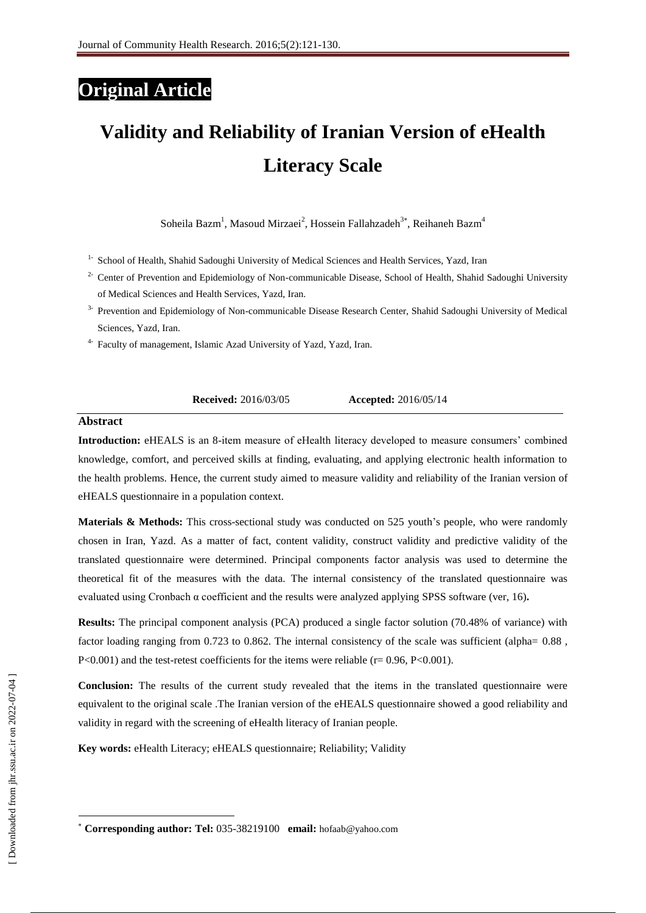# **Original Article**

# **Validity and Reliability of Iranian Version of eHealth Literacy Scale**

Soheila Bazm<sup>1</sup>, Masoud Mirzaei<sup>2</sup>, Hossein Fallahzadeh<sup>3\*</sup>, Reihaneh Bazm<sup>4</sup>

- <sup>1-</sup> School of Health, Shahid Sadoughi University of Medical Sciences and Health Services, Yazd, Iran
- <sup>2-</sup> Center of Prevention and Epidemiology of Non-communicable Disease, School of Health, Shahid Sadoughi University of Medical Sciences and Health Services, Yazd, Iran.
- <sup>3-</sup> Prevention and Epidemiology of Non-communicable Disease Research Center, Shahid Sadoughi University of Medical Sciences, Yazd, Iran.
- 4- Faculty of management, Islamic Azad University of Yazd, Yazd, Iran.

**Received:** 2016/03/05 **Accepted:** 2016/05/14

# **Abstract**

**Introduction:** eHEALS is an 8-item measure of eHealth literacy developed to measure consumers' combined knowledge, comfort, and perceived skills at finding, evaluating, and applying electronic health information to the health problems. Hence, the current study aimed to measure validity and reliability of the Iranian version of eHEALS questionnaire in a population context.

**Materials & Methods:** This cross-sectional study was conducted on 525 youth's people, who were randomly chosen in Iran, Yazd. As a matter of fact, content validity, construct validity and predictive validity of the translated questionnaire were determined. Principal components factor analysis was used to determine the theoretical fit of the measures with the data. The internal consistency of the translated questionnaire was evaluated using Cronbach α coefficient and the results were analyzed applying SPSS software (ver, 16)**.** 

**Results:** The principal component analysis (PCA) produced a single factor solution (70.48% of variance) with factor loading ranging from 0.723 to 0.862. The internal consistency of the scale was sufficient (alpha= 0.88 ,  $P<0.001$ ) and the test-retest coefficients for the items were reliable (r= 0.96, P<0.001).

**Conclusion:** The results of the current study revealed that the items in the translated questionnaire were equivalent to the original scale .The Iranian version of the eHEALS questionnaire showed a good reliability and validity in regard with the screening of eHealth literacy of Iranian people.

**Key words:** eHealth Literacy; eHEALS questionnaire; Reliability; Validity

 $\overline{\phantom{a}}$ 

**Corresponding author: Tel:** 035-38219100 **email:** hofaab@yahoo.com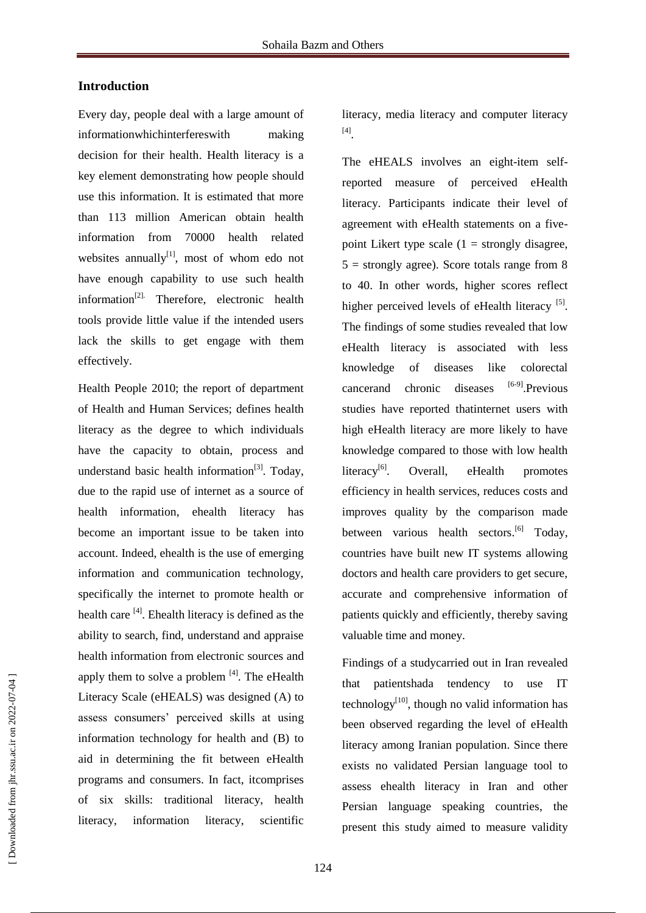# **Introduction**

Every day, people deal with a large amount of informationwhichinterfereswith making decision for their health. Health literacy is a key element demonstrating how people should use this information. It is estimated that more than 113 million American obtain health information from 70000 health related websites annually $\left[1\right]$ , most of whom edo not have enough capability to use such health information $[2]$ . Therefore, electronic health tools provide little value if the intended users lack the skills to get engage with them effectively.

Health People 2010; the report of department of Health and Human Services; defines health literacy as the degree to which individuals have the capacity to obtain, process and understand basic health information<sup>[3]</sup>. Today, due to the rapid use of internet as a source of health information, ehealth literacy has become an important issue to be taken into account. Indeed, ehealth is the use of emerging information and communication technology, specifically the internet to promote health or health care <sup>[4]</sup>. Ehealth literacy is defined as the ability to search, find, understand and appraise health information from electronic sources and apply them to solve a problem  $[4]$ . The eHealth Literacy Scale (eHEALS) was designed (A) to assess consumers' perceived skills at using information technology for health and (B) to aid in determining the fit between eHealth programs and consumers. In fact, itcomprises of six skills: traditional literacy, health literacy, information literacy, scientific

literacy, media literacy and computer literacy [4] .

The eHEALS involves an eight-item selfreported measure of perceived eHealth literacy. Participants indicate their level of agreement with eHealth statements on a fivepoint Likert type scale  $(1 =$  strongly disagree,  $5 =$  strongly agree). Score totals range from 8 to 40. In other words, higher scores reflect higher perceived levels of eHealth literacy  $[5]$ . The findings of some studies revealed that low eHealth literacy is associated with less knowledge of diseases like colorectal cancerand chronic diseases [6-9]<sub>.Previous</sub> studies have reported thatinternet users with high eHealth literacy are more likely to have knowledge compared to those with low health literacy $^{[6]}$ . . Overall, eHealth promotes efficiency in health services, reduces costs and improves quality by the comparison made between various health sectors.<sup>[6]</sup> Today, countries have built new IT systems allowing doctors and health care providers to get secure, accurate and comprehensive information of patients quickly and efficiently, thereby saving valuable time and money.

Findings of a studycarried out in Iran revealed that patientshada tendency to use IT technology $[10]$ , though no valid information has been observed regarding the level of eHealth literacy among Iranian population. Since there exists no validated Persian language tool to assess ehealth literacy in Iran and other Persian language speaking countries, the present this study aimed to measure validity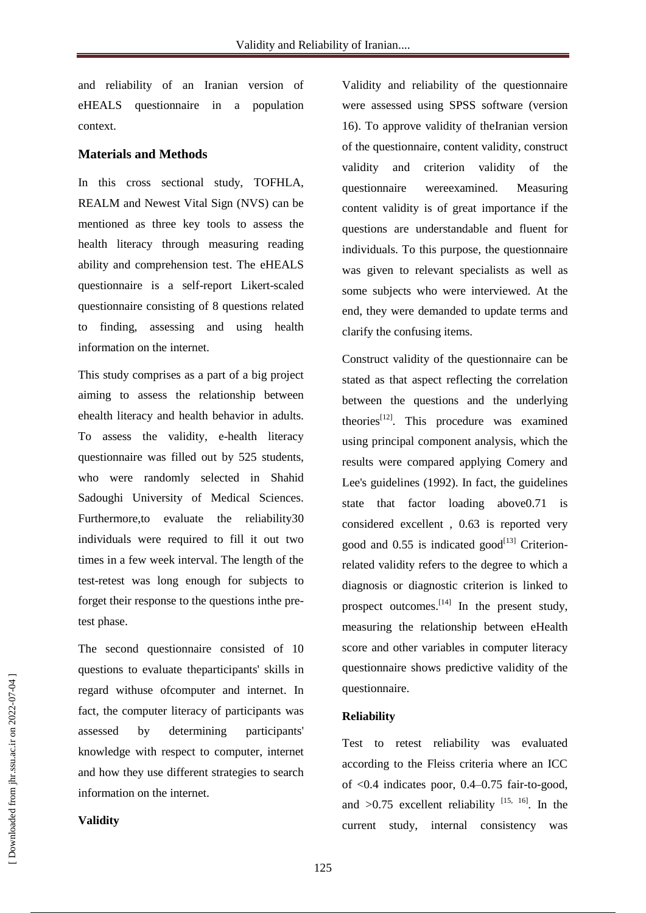and reliability of an Iranian version of eHEALS questionnaire in a population context.

# **Materials and Methods**

In this cross sectional study, TOFHLA, REALM and Newest Vital Sign (NVS) can be mentioned as three key tools to assess the health literacy through measuring reading ability and comprehension test. The eHEALS questionnaire is a self-report Likert-scaled questionnaire consisting of 8 questions related to finding, assessing and using health information on the internet.

This study comprises as a part of a big project aiming to assess the relationship between ehealth literacy and health behavior in adults. To assess the validity, e-health literacy questionnaire was filled out by 525 students, who were randomly selected in Shahid Sadoughi University of Medical Sciences. Furthermore,to evaluate the reliability30 individuals were required to fill it out two times in a few week interval. The length of the test-retest was long enough for subjects to forget their response to the questions inthe pretest phase.

The second questionnaire consisted of 10 questions to evaluate theparticipants' skills in regard withuse ofcomputer and internet. In fact, the computer literacy of participants was assessed by determining participants' knowledge with respect to computer, internet and how they use different strategies to search information on the internet.

Validity and reliability of the questionnaire were assessed using SPSS software (version 16). To approve validity of theIranian version of the questionnaire, content validity, construct validity and criterion validity of the questionnaire wereexamined. Measuring content validity is of great importance if the questions are understandable and fluent for individuals. To this purpose, the questionnaire was given to relevant specialists as well as some subjects who were interviewed. At the end, they were demanded to update terms and clarify the confusing items.

Construct validity of the questionnaire can be stated as that aspect reflecting the correlation between the questions and the underlying theories<sup>[12]</sup>. This procedure was examined using principal component analysis, which the results were compared applying Comery and Lee's guidelines (1992). In fact, the guidelines state that factor loading above0.71 is considered excellent , 0.63 is reported very good and  $0.55$  is indicated good<sup>[13]</sup> Criterionrelated validity refers to the degree to which a diagnosis or diagnostic criterion is linked to prospect outcomes.<sup>[14]</sup> In the present study, measuring the relationship between eHealth score and other variables in computer literacy questionnaire shows predictive validity of the questionnaire.

# **Reliability**

Test to retest reliability was evaluated according to the Fleiss criteria where an ICC of <0.4 indicates poor, 0.4–0.75 fair-to-good, and  $>0.75$  excellent reliability  $^{[15, 16]}$ . In the current study, internal consistency was

# **Validity**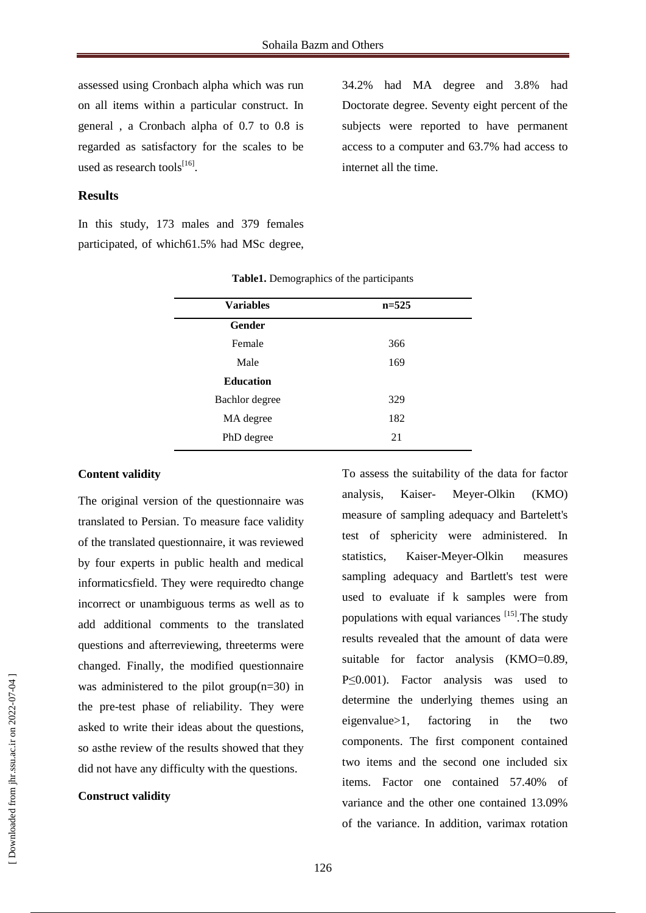assessed using Cronbach alpha which was run on all items within a particular construct. In general , a Cronbach alpha of 0.7 to 0.8 is regarded as satisfactory for the scales to be used as research tools<sup>[16]</sup>.

34.2% had MA degree and 3.8% had Doctorate degree. Seventy eight percent of the subjects were reported to have permanent access to a computer and 63.7% had access to internet all the time.

# **Results**

In this study, 173 males and 379 females participated, of which61.5% had MSc degree,

| <b>Variables</b> | $n=525$ |
|------------------|---------|
| Gender           |         |
| Female           | 366     |
| Male             | 169     |
| <b>Education</b> |         |
| Bachlor degree   | 329     |
| MA degree        | 182     |
| PhD degree       | 21      |

#### **Table1.** Demographics of the participants

#### **Content validity**

The original version of the questionnaire was translated to Persian. To measure face validity of the translated questionnaire, it was reviewed by four experts in public health and medical informaticsfield. They were requiredto change incorrect or unambiguous terms as well as to add additional comments to the translated questions and afterreviewing, threeterms were changed. Finally, the modified questionnaire was administered to the pilot group(n=30) in the pre-test phase of reliability. They were asked to write their ideas about the questions, so asthe review of the results showed that they did not have any difficulty with the questions.

#### **Construct validity**

To assess the suitability of the data for factor analysis, Kaiser- Meyer-Olkin (KMO) measure of sampling adequacy and Bartelett's test of sphericity were administered. In statistics, Kaiser-Meyer-Olkin measures sampling adequacy and Bartlett's test were used to evaluate if k samples were from populations with equal variances<sup>[15]</sup>. The study results revealed that the amount of data were suitable for factor analysis (KMO=0.89, P≤0.001). Factor analysis was used to determine the underlying themes using an eigenvalue>1, factoring in the two components. The first component contained two items and the second one included six items. Factor one contained 57.40% of variance and the other one contained 13.09% of the variance. In addition, varimax rotation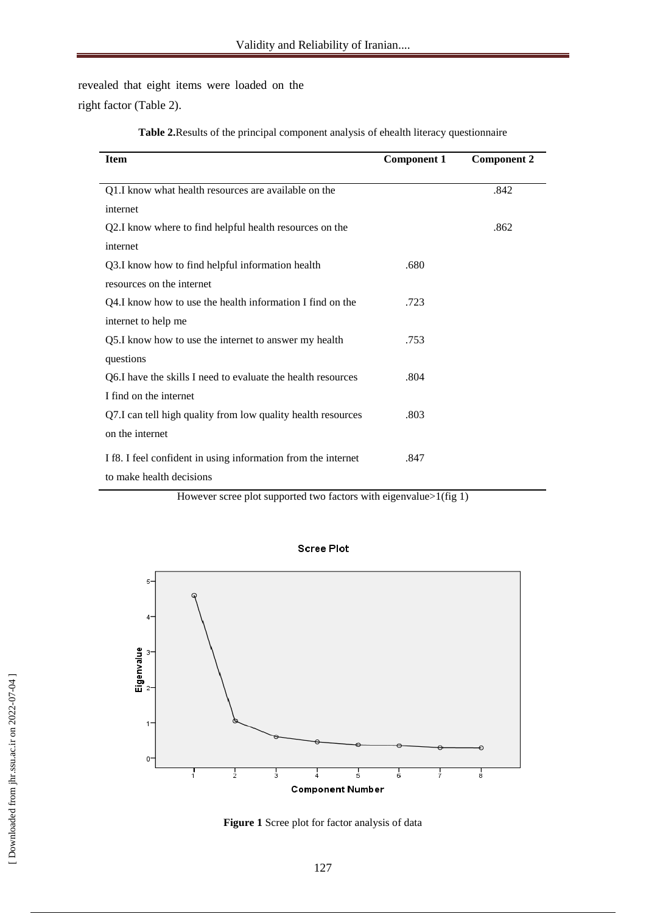revealed that eight items were loaded on the right factor (Table 2).

| <b>Item</b>                                                   | <b>Component 1</b> | <b>Component 2</b> |
|---------------------------------------------------------------|--------------------|--------------------|
|                                                               |                    |                    |
| Q1.I know what health resources are available on the          |                    | .842               |
| internet                                                      |                    |                    |
| Q2.I know where to find helpful health resources on the       |                    | .862               |
| internet                                                      |                    |                    |
| Q3.I know how to find helpful information health              | .680               |                    |
| resources on the internet                                     |                    |                    |
| Q4.I know how to use the health information I find on the     | .723               |                    |
| internet to help me                                           |                    |                    |
| Q5.I know how to use the internet to answer my health         | .753               |                    |
| questions                                                     |                    |                    |
| Q6. I have the skills I need to evaluate the health resources | .804               |                    |
| I find on the internet                                        |                    |                    |
| Q7.I can tell high quality from low quality health resources  | .803               |                    |
| on the internet                                               |                    |                    |
| If8. I feel confident in using information from the internet  | .847               |                    |
| to make health decisions                                      |                    |                    |

**Table 2.**Results of the principal component analysis of ehealth literacy questionnaire

However scree plot supported two factors with eigenvalue>1(fig 1)



**Scree Plot** 

**Figure 1** Scree plot for factor analysis of data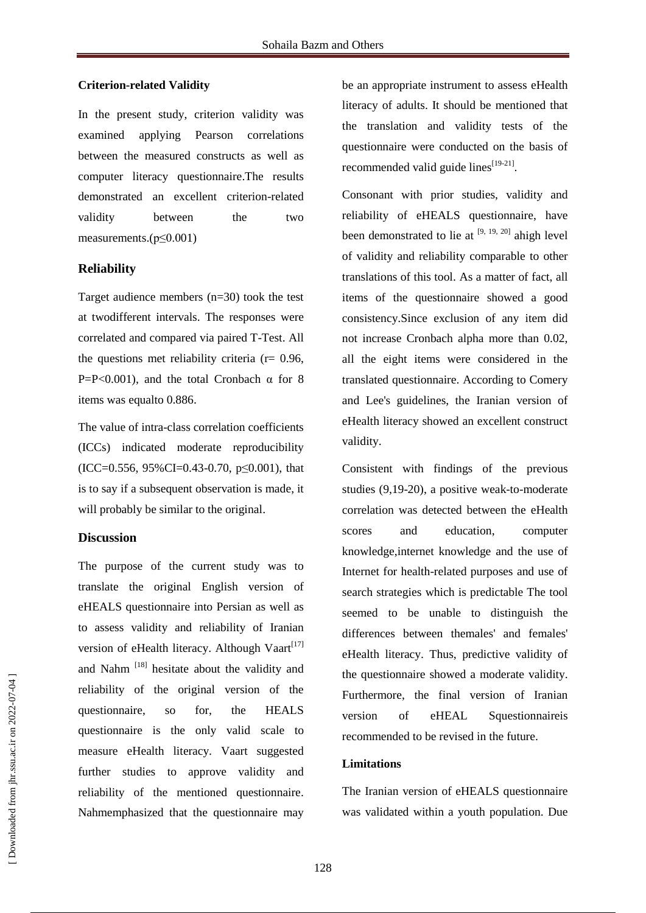#### **Criterion-related Validity**

In the present study, criterion validity was examined applying Pearson correlations between the measured constructs as well as computer literacy questionnaire.The results demonstrated an excellent criterion-related validity between the two measurements.(p≤0.001)

# **Reliability**

Target audience members (n=30) took the test at twodifferent intervals. The responses were correlated and compared via paired T-Test. All the questions met reliability criteria ( $r = 0.96$ , P=P<0.001), and the total Cronbach  $\alpha$  for 8 items was equalto 0.886.

The value of intra-class correlation coefficients (ICCs) indicated moderate reproducibility  $(ICC=0.556, 95\% CI=0.43-0.70, p \le 0.001)$ , that is to say if a subsequent observation is made, it will probably be similar to the original.

#### **Discussion**

The purpose of the current study was to translate the original English version of eHEALS questionnaire into Persian as well as to assess validity and reliability of Iranian version of eHealth literacy. Although Vaart<sup>[17]</sup> and Nahm<sup>[18]</sup> hesitate about the validity and reliability of the original version of the questionnaire, so for, the HEALS questionnaire is the only valid scale to measure eHealth literacy. Vaart suggested further studies to approve validity and reliability of the mentioned questionnaire. Nahmemphasized that the questionnaire may

be an appropriate instrument to assess eHealth literacy of adults. It should be mentioned that the translation and validity tests of the questionnaire were conducted on the basis of recommended valid guide lines $[19-21]$ .

Consonant with prior studies, validity and reliability of eHEALS questionnaire, have been demonstrated to lie at  $[9, 19, 20]$  ahigh level of validity and reliability comparable to other translations of this tool. As a matter of fact, all items of the questionnaire showed a good consistency.Since exclusion of any item did not increase Cronbach alpha more than 0.02, all the eight items were considered in the translated questionnaire. According to Comery and Lee's guidelines, the Iranian version of eHealth literacy showed an excellent construct validity.

Consistent with findings of the previous studies (9,19-20), a positive weak-to-moderate correlation was detected between the eHealth scores and education, computer knowledge,internet knowledge and the use of Internet for health-related purposes and use of search strategies which is predictable The tool seemed to be unable to distinguish the differences between themales' and females' eHealth literacy. Thus, predictive validity of the questionnaire showed a moderate validity. Furthermore, the final version of Iranian version of eHEAL Squestionnaireis recommended to be revised in the future.

# **Limitations**

The Iranian version of eHEALS questionnaire was validated within a youth population. Due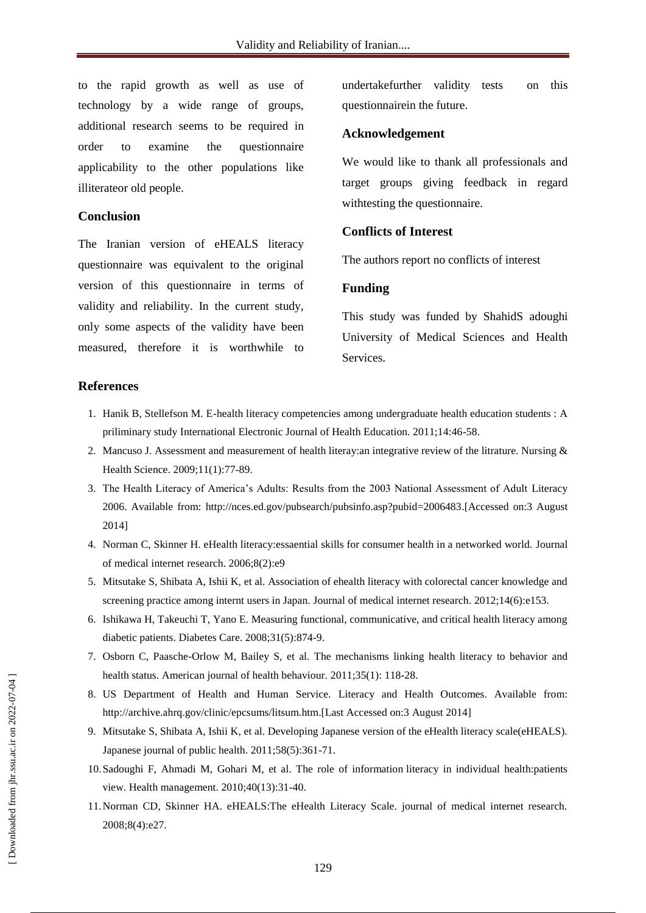to the rapid growth as well as use of technology by a wide range of groups, additional research seems to be required in order to examine the questionnaire applicability to the other populations like illiterateor old people.

#### **Conclusion**

The Iranian version of eHEALS literacy questionnaire was equivalent to the original version of this questionnaire in terms of validity and reliability. In the current study, only some aspects of the validity have been measured, therefore it is worthwhile to undertakefurther validity tests on this questionnairein the future.

#### **Acknowledgement**

We would like to thank all professionals and target groups giving feedback in regard withtesting the questionnaire.

# **Conflicts of Interest**

The authors report no conflicts of interest

#### **Funding**

This study was funded by ShahidS adoughi University of Medical Sciences and Health Services.

## **References**

- 1. Hanik B, Stellefson M. E-health literacy competencies among undergraduate health education students : A priliminary study International Electronic Journal of Health Education. 2011;14:46-58.
- 2. Mancuso J. Assessment and measurement of health literay:an integrative review of the litrature. Nursing & Health Science. 2009;11(1):77-89.
- 3. The Health Literacy of America's Adults: Results from the 2003 National Assessment of Adult Literacy 2006. Available from: [http://nces.ed.gov/pubsearch/pubsinfo.asp?pubid=2006483.](http://nces.ed.gov/pubsearch/pubsinfo.asp?pubid=2006483)[Accessed on:3 August 2014]
- 4. Norman C, Skinner H. eHealth literacy:essaential skills for consumer health in a networked world. Journal of medical internet research. 2006;8(2):e9
- 5. Mitsutake S, Shibata A, Ishii K, et al. Association of ehealth literacy with colorectal cancer knowledge and screening practice among internt users in Japan. Journal of medical internet research. 2012;14(6):e153.
- 6. Ishikawa H, Takeuchi T, Yano E. Measuring functional, communicative, and critical health literacy among diabetic patients. Diabetes Care. 2008;31(5):874-9.
- 7. Osborn C, Paasche-Orlow M, Bailey S, et al. The mechanisms linking health literacy to behavior and health status. American journal of health behaviour. 2011;35(1): 118-28.
- 8. US Department of Health and Human Service. Literacy and Health Outcomes. Available from: [http://archive.ahrq.gov/clinic/epcsums/litsum.htm.](http://archive.ahrq.gov/clinic/epcsums/litsum.htm)[Last Accessed on:3 August 2014]
- 9. Mitsutake S, Shibata A, Ishii K, et al. Developing Japanese version of the eHealth literacy scale(eHEALS). Japanese journal of public health. 2011;58(5):361-71.
- 10.Sadoughi F, Ahmadi M, Gohari M, et al. The role of information literacy in individual health:patients view. Health management. 2010;40(13):31-40.
- 11.Norman CD, Skinner HA. eHEALS:The eHealth Literacy Scale. journal of medical internet research. 2008;8(4):e27.